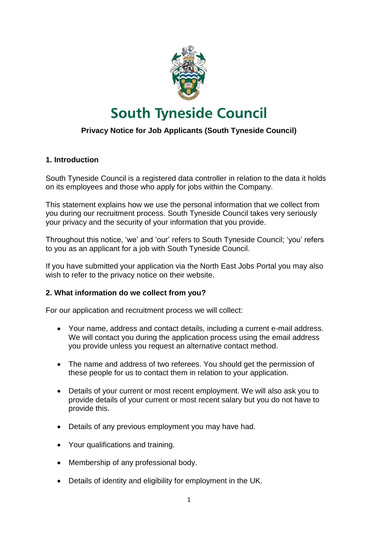

# **South Tyneside Council**

# **Privacy Notice for Job Applicants (South Tyneside Council)**

## **1. Introduction**

South Tyneside Council is a registered data controller in relation to the data it holds on its employees and those who apply for jobs within the Company.

This statement explains how we use the personal information that we collect from you during our recruitment process. South Tyneside Council takes very seriously your privacy and the security of your information that you provide.

Throughout this notice, 'we' and 'our' refers to South Tyneside Council; 'you' refers to you as an applicant for a job with South Tyneside Council.

If you have submitted your application via the North East Jobs Portal you may also wish to refer to the privacy notice on their website.

#### **2. What information do we collect from you?**

For our application and recruitment process we will collect:

- Your name, address and contact details, including a current e-mail address. We will contact you during the application process using the email address you provide unless you request an alternative contact method.
- The name and address of two referees. You should get the permission of these people for us to contact them in relation to your application.
- Details of your current or most recent employment. We will also ask you to provide details of your current or most recent salary but you do not have to provide this.
- Details of any previous employment you may have had.
- Your qualifications and training.
- Membership of any professional body.
- Details of identity and eligibility for employment in the UK.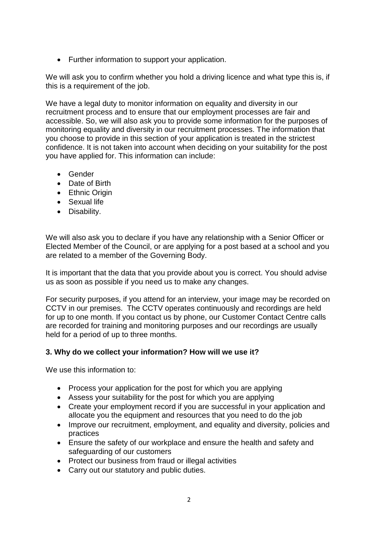• Further information to support your application.

We will ask you to confirm whether you hold a driving licence and what type this is, if this is a requirement of the job.

We have a legal duty to monitor information on equality and diversity in our recruitment process and to ensure that our employment processes are fair and accessible. So, we will also ask you to provide some information for the purposes of monitoring equality and diversity in our recruitment processes. The information that you choose to provide in this section of your application is treated in the strictest confidence. It is not taken into account when deciding on your suitability for the post you have applied for. This information can include:

- Gender
- Date of Birth
- Ethnic Origin
- Sexual life
- Disability.

We will also ask you to declare if you have any relationship with a Senior Officer or Elected Member of the Council, or are applying for a post based at a school and you are related to a member of the Governing Body.

It is important that the data that you provide about you is correct. You should advise us as soon as possible if you need us to make any changes.

For security purposes, if you attend for an interview, your image may be recorded on CCTV in our premises. The CCTV operates continuously and recordings are held for up to one month. If you contact us by phone, our Customer Contact Centre calls are recorded for training and monitoring purposes and our recordings are usually held for a period of up to three months.

# **3. Why do we collect your information? How will we use it?**

We use this information to:

- Process your application for the post for which you are applying
- Assess your suitability for the post for which you are applying
- Create your employment record if you are successful in your application and allocate you the equipment and resources that you need to do the job
- Improve our recruitment, employment, and equality and diversity, policies and practices
- Ensure the safety of our workplace and ensure the health and safety and safeguarding of our customers
- Protect our business from fraud or illegal activities
- Carry out our statutory and public duties.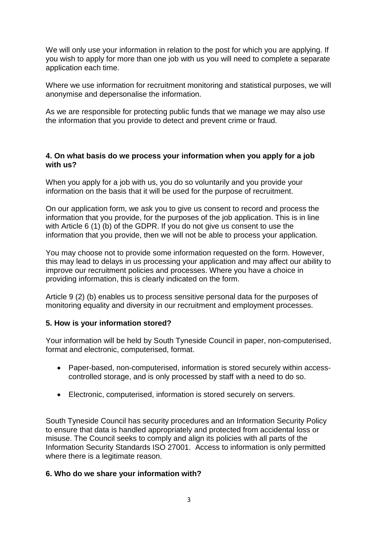We will only use your information in relation to the post for which you are applying. If you wish to apply for more than one job with us you will need to complete a separate application each time.

Where we use information for recruitment monitoring and statistical purposes, we will anonymise and depersonalise the information.

As we are responsible for protecting public funds that we manage we may also use the information that you provide to detect and prevent crime or fraud.

#### **4. On what basis do we process your information when you apply for a job with us?**

When you apply for a job with us, you do so voluntarily and you provide your information on the basis that it will be used for the purpose of recruitment.

On our application form, we ask you to give us consent to record and process the information that you provide, for the purposes of the job application. This is in line with Article 6 (1) (b) of the GDPR. If you do not give us consent to use the information that you provide, then we will not be able to process your application.

You may choose not to provide some information requested on the form. However, this may lead to delays in us processing your application and may affect our ability to improve our recruitment policies and processes. Where you have a choice in providing information, this is clearly indicated on the form.

Article 9 (2) (b) enables us to process sensitive personal data for the purposes of monitoring equality and diversity in our recruitment and employment processes.

# **5. How is your information stored?**

Your information will be held by South Tyneside Council in paper, non-computerised, format and electronic, computerised, format.

- Paper-based, non-computerised, information is stored securely within accesscontrolled storage, and is only processed by staff with a need to do so.
- Electronic, computerised, information is stored securely on servers.

South Tyneside Council has security procedures and an Information Security Policy to ensure that data is handled appropriately and protected from accidental loss or misuse. The Council seeks to comply and align its policies with all parts of the Information Security Standards ISO 27001. Access to information is only permitted where there is a legitimate reason.

#### **6. Who do we share your information with?**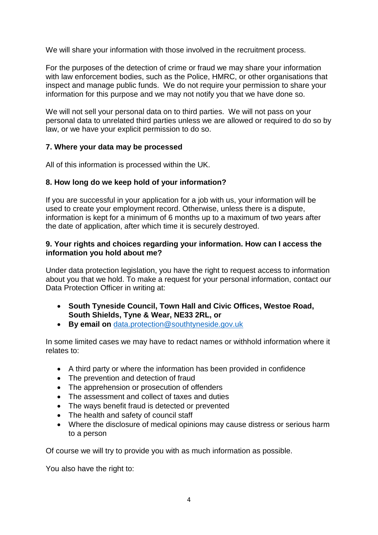We will share your information with those involved in the recruitment process.

For the purposes of the detection of crime or fraud we may share your information with law enforcement bodies, such as the Police, HMRC, or other organisations that inspect and manage public funds. We do not require your permission to share your information for this purpose and we may not notify you that we have done so.

We will not sell your personal data on to third parties. We will not pass on your personal data to unrelated third parties unless we are allowed or required to do so by law, or we have your explicit permission to do so.

## **7. Where your data may be processed**

All of this information is processed within the UK.

## **8. How long do we keep hold of your information?**

If you are successful in your application for a job with us, your information will be used to create your employment record. Otherwise, unless there is a dispute, information is kept for a minimum of 6 months up to a maximum of two years after the date of application, after which time it is securely destroyed.

#### **9. Your rights and choices regarding your information. How can I access the information you hold about me?**

Under data protection legislation, you have the right to request access to information about you that we hold. To make a request for your personal information, contact our Data Protection Officer in writing at:

- **South Tyneside Council, Town Hall and Civic Offices, Westoe Road, South Shields, Tyne & Wear, NE33 2RL, or**
- **By email on** [data.protection@southtyneside.gov.uk](mailto:data.protection@southtyneside.gov.uk)

In some limited cases we may have to redact names or withhold information where it relates to:

- A third party or where the information has been provided in confidence
- The prevention and detection of fraud
- The apprehension or prosecution of offenders
- The assessment and collect of taxes and duties
- The ways benefit fraud is detected or prevented
- The health and safety of council staff
- Where the disclosure of medical opinions may cause distress or serious harm to a person

Of course we will try to provide you with as much information as possible.

You also have the right to: